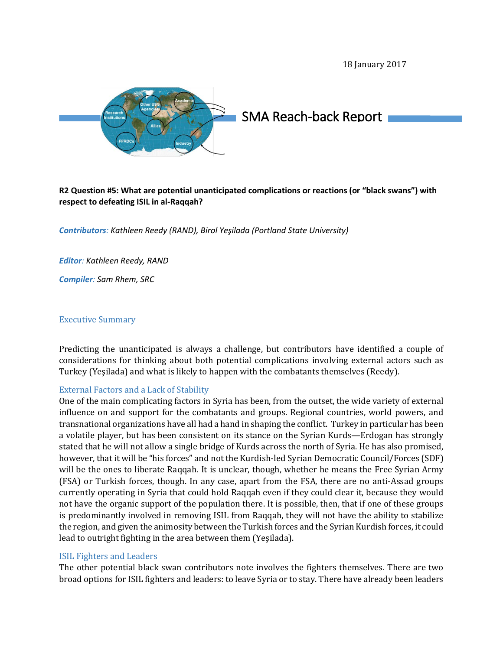18 January 2017



# SMA Reach-back Report

# **R2 Question #5: What are potential unanticipated complications or reactions (or "black swans") with respect to defeating ISIL in al-Raqqah?**

*Contributors: Kathleen Reedy (RAND), Birol Yeşilada (Portland State University)*

*Editor: Kathleen Reedy, RAND*

*Compiler: Sam Rhem, SRC* 

#### Executive Summary

Predicting the unanticipated is always a challenge, but contributors have identified a couple of considerations for thinking about both potential complications involving external actors such as Turkey (Yeşilada) and what is likely to happen with the combatants themselves (Reedy).

#### External Factors and a Lack of Stability

One of the main complicating factors in Syria has been, from the outset, the wide variety of external influence on and support for the combatants and groups. Regional countries, world powers, and transnational organizations have all had a hand in shaping the conflict. Turkey in particular has been a volatile player, but has been consistent on its stance on the Syrian Kurds—Erdogan has strongly stated that he will not allow a single bridge of Kurds across the north of Syria. He has also promised, however, that it will be "his forces" and not the Kurdish-led Syrian Democratic Council/Forces (SDF) will be the ones to liberate Raqqah. It is unclear, though, whether he means the Free Syrian Army (FSA) or Turkish forces, though. In any case, apart from the FSA, there are no anti-Assad groups currently operating in Syria that could hold Raqqah even if they could clear it, because they would not have the organic support of the population there. It is possible, then, that if one of these groups is predominantly involved in removing ISIL from Raqqah, they will not have the ability to stabilize the region, and given the animosity between the Turkish forces and the Syrian Kurdish forces, it could lead to outright fighting in the area between them (Yeşilada).

#### ISIL Fighters and Leaders

The other potential black swan contributors note involves the fighters themselves. There are two broad options for ISIL fighters and leaders: to leave Syria or to stay. There have already been leaders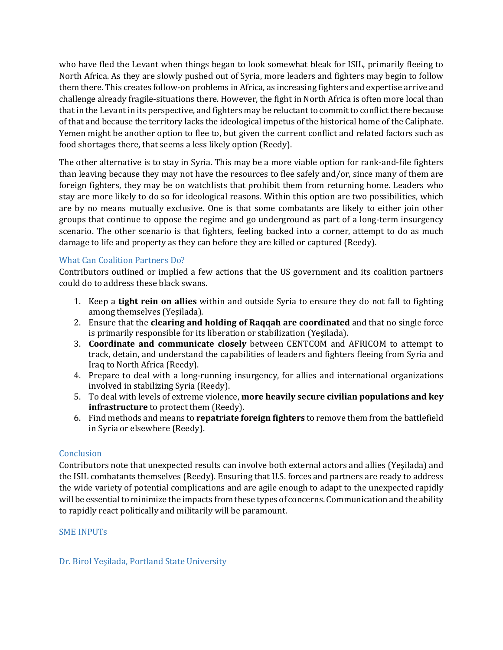who have fled the Levant when things began to look somewhat bleak for ISIL, primarily fleeing to North Africa. As they are slowly pushed out of Syria, more leaders and fighters may begin to follow them there. This creates follow-on problems in Africa, as increasing fighters and expertise arrive and challenge already fragile-situations there. However, the fight in North Africa is often more local than that in the Levant in its perspective, and fighters may be reluctant to commit to conflict there because of that and because the territory lacks the ideological impetus of the historical home of the Caliphate. Yemen might be another option to flee to, but given the current conflict and related factors such as food shortages there, that seems a less likely option (Reedy).

The other alternative is to stay in Syria. This may be a more viable option for rank-and-file fighters than leaving because they may not have the resources to flee safely and/or, since many of them are foreign fighters, they may be on watchlists that prohibit them from returning home. Leaders who stay are more likely to do so for ideological reasons. Within this option are two possibilities, which are by no means mutually exclusive. One is that some combatants are likely to either join other groups that continue to oppose the regime and go underground as part of a long-term insurgency scenario. The other scenario is that fighters, feeling backed into a corner, attempt to do as much damage to life and property as they can before they are killed or captured (Reedy).

# What Can Coalition Partners Do?

Contributors outlined or implied a few actions that the US government and its coalition partners could do to address these black swans.

- 1. Keep a **tight rein on allies** within and outside Syria to ensure they do not fall to fighting among themselves (Yeşilada).
- 2. Ensure that the **clearing and holding of Raqqah are coordinated** and that no single force is primarily responsible for its liberation or stabilization (Yeşilada).
- 3. **Coordinate and communicate closely** between CENTCOM and AFRICOM to attempt to track, detain, and understand the capabilities of leaders and fighters fleeing from Syria and Iraq to North Africa (Reedy).
- 4. Prepare to deal with a long-running insurgency, for allies and international organizations involved in stabilizing Syria (Reedy).
- 5. To deal with levels of extreme violence, **more heavily secure civilian populations and key infrastructure** to protect them (Reedy).
- 6. Find methods and means to **repatriate foreign fighters** to remove them from the battlefield in Syria or elsewhere (Reedy).

#### Conclusion

Contributors note that unexpected results can involve both external actors and allies (Yeşilada) and the ISIL combatants themselves (Reedy). Ensuring that U.S. forces and partners are ready to address the wide variety of potential complications and are agile enough to adapt to the unexpected rapidly will be essential to minimize the impacts from these types of concerns. Communication and the ability to rapidly react politically and militarily will be paramount.

#### SME INPUTs

# Dr. Birol Yeşilada, Portland State University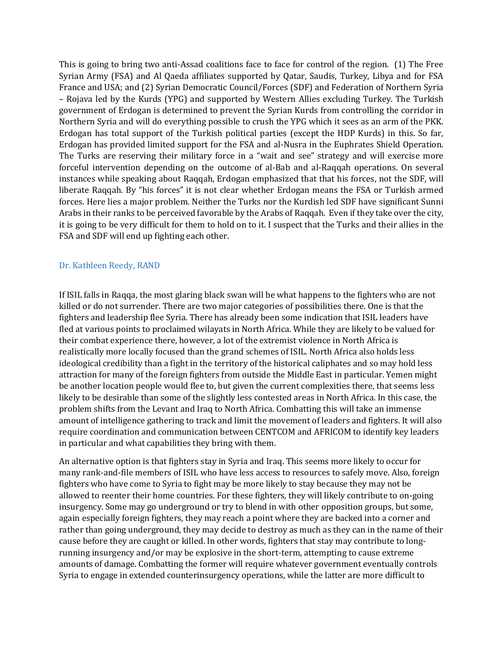This is going to bring two anti-Assad coalitions face to face for control of the region. (1) The Free Syrian Army (FSA) and Al Qaeda affiliates supported by Qatar, Saudis, Turkey, Libya and for FSA France and USA; and (2) Syrian Democratic Council/Forces (SDF) and Federation of Northern Syria – Rojava led by the Kurds (YPG) and supported by Western Allies excluding Turkey. The Turkish government of Erdogan is determined to prevent the Syrian Kurds from controlling the corridor in Northern Syria and will do everything possible to crush the YPG which it sees as an arm of the PKK. Erdogan has total support of the Turkish political parties (except the HDP Kurds) in this. So far, Erdogan has provided limited support for the FSA and al-Nusra in the Euphrates Shield Operation. The Turks are reserving their military force in a "wait and see" strategy and will exercise more forceful intervention depending on the outcome of al-Bab and al-Raqqah operations. On several instances while speaking about Raqqah, Erdogan emphasized that that his forces, not the SDF, will liberate Raqqah. By "his forces" it is not clear whether Erdogan means the FSA or Turkish armed forces. Here lies a major problem. Neither the Turks nor the Kurdish led SDF have significant Sunni Arabs in their ranks to be perceived favorable by the Arabs of Raqqah. Even if they take over the city, it is going to be very difficult for them to hold on to it. I suspect that the Turks and their allies in the FSA and SDF will end up fighting each other.

#### Dr. Kathleen Reedy, RAND

If ISIL falls in Raqqa, the most glaring black swan will be what happens to the fighters who are not killed or do not surrender. There are two major categories of possibilities there. One is that the fighters and leadership flee Syria. There has already been some indication that ISIL leaders have fled at various points to proclaimed wilayats in North Africa. While they are likely to be valued for their combat experience there, however, a lot of the extremist violence in North Africa is realistically more locally focused than the grand schemes of ISIL. North Africa also holds less ideological credibility than a fight in the territory of the historical caliphates and so may hold less attraction for many of the foreign fighters from outside the Middle East in particular. Yemen might be another location people would flee to, but given the current complexities there, that seems less likely to be desirable than some of the slightly less contested areas in North Africa. In this case, the problem shifts from the Levant and Iraq to North Africa. Combatting this will take an immense amount of intelligence gathering to track and limit the movement of leaders and fighters. It will also require coordination and communication between CENTCOM and AFRICOM to identify key leaders in particular and what capabilities they bring with them.

An alternative option is that fighters stay in Syria and Iraq. This seems more likely to occur for many rank-and-file members of ISIL who have less access to resources to safely move. Also, foreign fighters who have come to Syria to fight may be more likely to stay because they may not be allowed to reenter their home countries. For these fighters, they will likely contribute to on-going insurgency. Some may go underground or try to blend in with other opposition groups, but some, again especially foreign fighters, they may reach a point where they are backed into a corner and rather than going underground, they may decide to destroy as much as they can in the name of their cause before they are caught or killed. In other words, fighters that stay may contribute to longrunning insurgency and/or may be explosive in the short-term, attempting to cause extreme amounts of damage. Combatting the former will require whatever government eventually controls Syria to engage in extended counterinsurgency operations, while the latter are more difficult to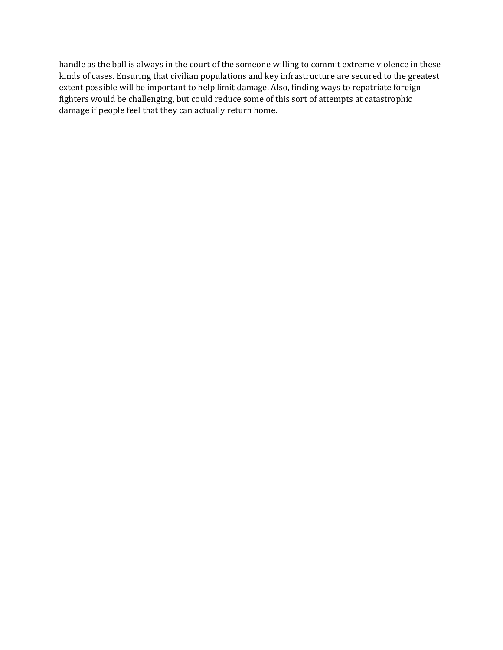handle as the ball is always in the court of the someone willing to commit extreme violence in these kinds of cases. Ensuring that civilian populations and key infrastructure are secured to the greatest extent possible will be important to help limit damage. Also, finding ways to repatriate foreign fighters would be challenging, but could reduce some of this sort of attempts at catastrophic damage if people feel that they can actually return home.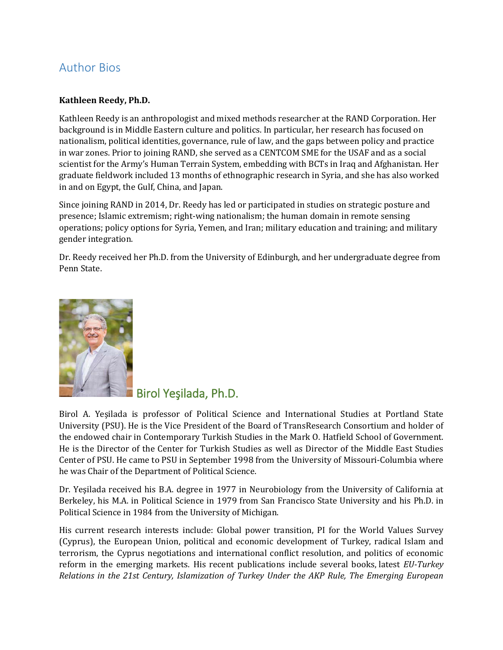# Author Bios

# **Kathleen Reedy, Ph.D.**

Kathleen Reedy is an anthropologist and mixed methods researcher at the RAND Corporation. Her background is in Middle Eastern culture and politics. In particular, her research has focused on nationalism, political identities, governance, rule of law, and the gaps between policy and practice in war zones. Prior to joining RAND, she served as a CENTCOM SME for the USAF and as a social scientist for the Army's Human Terrain System, embedding with BCTs in Iraq and Afghanistan. Her graduate fieldwork included 13 months of ethnographic research in Syria, and she has also worked in and on Egypt, the Gulf, China, and Japan.

Since joining RAND in 2014, Dr. Reedy has led or participated in studies on strategic posture and presence; Islamic extremism; right-wing nationalism; the human domain in remote sensing operations; policy options for Syria, Yemen, and Iran; military education and training; and military gender integration.

Dr. Reedy received her Ph.D. from the University of Edinburgh, and her undergraduate degree from Penn State.



Birol Yeşilada, Ph.D.

Birol A. Yeşilada is professor of Political Science and International Studies at Portland State University (PSU). He is the Vice President of the Board of TransResearch Consortium and holder of the endowed chair in Contemporary Turkish Studies in the Mark O. Hatfield School of Government. He is the Director of the Center for Turkish Studies as well as Director of the Middle East Studies Center of PSU. He came to PSU in September 1998 from the University of Missouri-Columbia where he was Chair of the Department of Political Science.

Dr. Yeşilada received his B.A. degree in 1977 in Neurobiology from the University of California at Berkeley, his M.A. in Political Science in 1979 from San Francisco State University and his Ph.D. in Political Science in 1984 from the University of Michigan.

His current research interests include: Global power transition, PI for the World Values Survey (Cyprus), the European Union, political and economic development of Turkey, radical Islam and terrorism, the Cyprus negotiations and international conflict resolution, and politics of economic reform in the emerging markets. His recent publications include several books, latest *EU-Turkey Relations in the 21st Century, Islamization of Turkey Under the AKP Rule, The Emerging European*